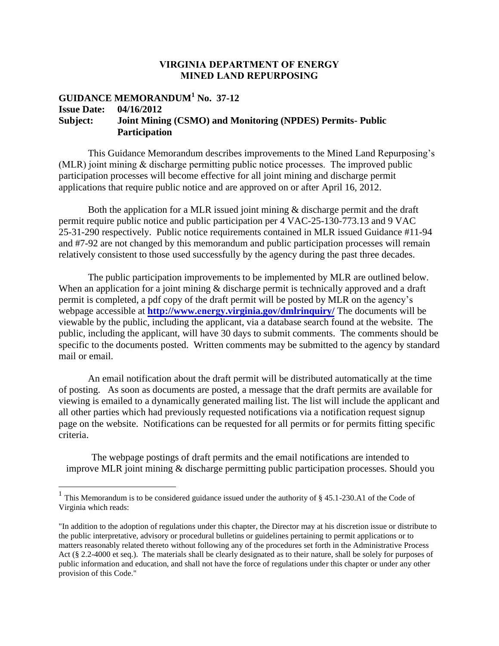## **VIRGINIA DEPARTMENT OF ENERGY MINED LAND REPURPOSING**

## **GUIDANCE MEMORANDUM<sup>1</sup> No. 37-12 Issue Date: 04/16/2012 Subject: Joint Mining (CSMO) and Monitoring (NPDES) Permits- Public Participation**

This Guidance Memorandum describes improvements to the Mined Land Repurposing's (MLR) joint mining & discharge permitting public notice processes. The improved public participation processes will become effective for all joint mining and discharge permit applications that require public notice and are approved on or after April 16, 2012.

Both the application for a MLR issued joint mining  $\&$  discharge permit and the draft permit require public notice and public participation per 4 VAC-25-130-773.13 and 9 VAC 25-31-290 respectively. Public notice requirements contained in MLR issued Guidance #11-94 and #7-92 are not changed by this memorandum and public participation processes will remain relatively consistent to those used successfully by the agency during the past three decades.

The public participation improvements to be implemented by MLR are outlined below. When an application for a joint mining & discharge permit is technically approved and a draft permit is completed, a pdf copy of the draft permit will be posted by MLR on the agency's webpage accessible at **http://www.energy[.virginia.gov/dmlrinquiry/](http://www.dmme.virginia.gov/dmlrinquiry/)** The documents will be viewable by the public, including the applicant, via a database search found at the website. The public, including the applicant, will have 30 days to submit comments. The comments should be specific to the documents posted. Written comments may be submitted to the agency by standard mail or email.

An email notification about the draft permit will be distributed automatically at the time of posting. As soon as documents are posted, a message that the draft permits are available for viewing is emailed to a dynamically generated mailing list. The list will include the applicant and all other parties which had previously requested notifications via a notification request signup page on the website. Notifications can be requested for all permits or for permits fitting specific criteria.

The webpage postings of draft permits and the email notifications are intended to improve MLR joint mining & discharge permitting public participation processes. Should you

<sup>&</sup>lt;sup>1</sup> This Memorandum is to be considered guidance issued under the authority of § 45.1-230.A1 of the Code of Virginia which reads:

<sup>&</sup>quot;In addition to the adoption of regulations under this chapter, the Director may at his discretion issue or distribute to the public interpretative, advisory or procedural bulletins or guidelines pertaining to permit applications or to matters reasonably related thereto without following any of the procedures set forth in the Administrative Process Act (§ 2.2-4000 et seq.). The materials shall be clearly designated as to their nature, shall be solely for purposes of public information and education, and shall not have the force of regulations under this chapter or under any other provision of this Code."